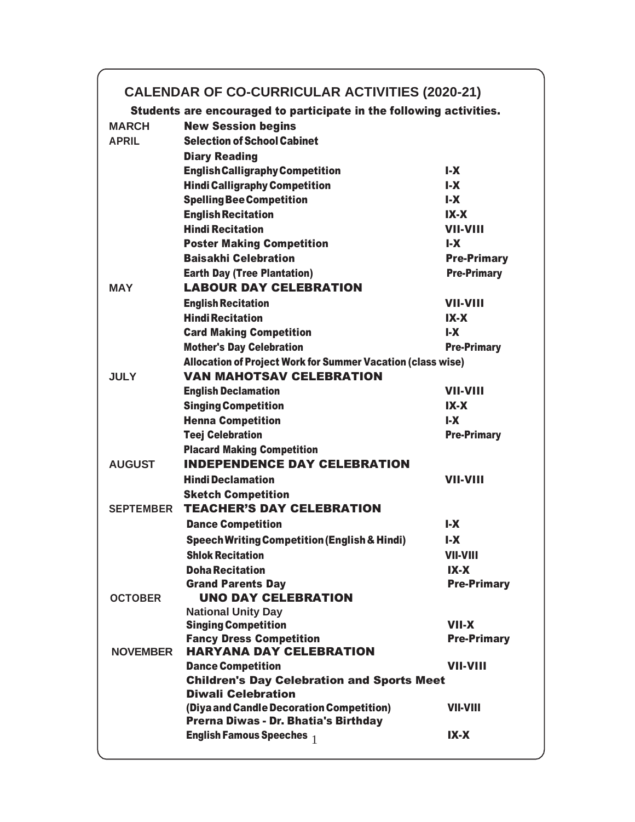## **CALENDAR OF CO-CURRICULAR ACTIVITIES (2020-21)**

Students are encouraged to participate in the following activities.

| <b>New Session begins</b>                                                   |                                                                                                                                                                                                                                                                                                                                                                                                                                                                                                                                                                                                                                                                                                               |  |  |  |  |
|-----------------------------------------------------------------------------|---------------------------------------------------------------------------------------------------------------------------------------------------------------------------------------------------------------------------------------------------------------------------------------------------------------------------------------------------------------------------------------------------------------------------------------------------------------------------------------------------------------------------------------------------------------------------------------------------------------------------------------------------------------------------------------------------------------|--|--|--|--|
|                                                                             |                                                                                                                                                                                                                                                                                                                                                                                                                                                                                                                                                                                                                                                                                                               |  |  |  |  |
| <b>Diary Reading</b>                                                        |                                                                                                                                                                                                                                                                                                                                                                                                                                                                                                                                                                                                                                                                                                               |  |  |  |  |
|                                                                             | $\mathsf{L} \mathsf{X}$                                                                                                                                                                                                                                                                                                                                                                                                                                                                                                                                                                                                                                                                                       |  |  |  |  |
|                                                                             | $I - X$                                                                                                                                                                                                                                                                                                                                                                                                                                                                                                                                                                                                                                                                                                       |  |  |  |  |
|                                                                             | $I - X$                                                                                                                                                                                                                                                                                                                                                                                                                                                                                                                                                                                                                                                                                                       |  |  |  |  |
|                                                                             | $IX-X$                                                                                                                                                                                                                                                                                                                                                                                                                                                                                                                                                                                                                                                                                                        |  |  |  |  |
|                                                                             | <b>VII-VIII</b>                                                                                                                                                                                                                                                                                                                                                                                                                                                                                                                                                                                                                                                                                               |  |  |  |  |
| <b>Poster Making Competition</b>                                            | $\mathsf{L} \mathsf{X}$                                                                                                                                                                                                                                                                                                                                                                                                                                                                                                                                                                                                                                                                                       |  |  |  |  |
|                                                                             | <b>Pre-Primary</b>                                                                                                                                                                                                                                                                                                                                                                                                                                                                                                                                                                                                                                                                                            |  |  |  |  |
| <b>Earth Day (Tree Plantation)</b>                                          | <b>Pre-Primary</b>                                                                                                                                                                                                                                                                                                                                                                                                                                                                                                                                                                                                                                                                                            |  |  |  |  |
| <b>LABOUR DAY CELEBRATION</b>                                               |                                                                                                                                                                                                                                                                                                                                                                                                                                                                                                                                                                                                                                                                                                               |  |  |  |  |
| <b>English Recitation</b>                                                   | <b>VII-VIII</b>                                                                                                                                                                                                                                                                                                                                                                                                                                                                                                                                                                                                                                                                                               |  |  |  |  |
| <b>Hindi Recitation</b>                                                     | $IX-X$                                                                                                                                                                                                                                                                                                                                                                                                                                                                                                                                                                                                                                                                                                        |  |  |  |  |
| <b>Card Making Competition</b>                                              | $\mathsf{L} \mathsf{X}$                                                                                                                                                                                                                                                                                                                                                                                                                                                                                                                                                                                                                                                                                       |  |  |  |  |
| <b>Mother's Day Celebration</b>                                             | <b>Pre-Primary</b>                                                                                                                                                                                                                                                                                                                                                                                                                                                                                                                                                                                                                                                                                            |  |  |  |  |
|                                                                             |                                                                                                                                                                                                                                                                                                                                                                                                                                                                                                                                                                                                                                                                                                               |  |  |  |  |
| <b>VAN MAHOTSAV CELEBRATION</b>                                             |                                                                                                                                                                                                                                                                                                                                                                                                                                                                                                                                                                                                                                                                                                               |  |  |  |  |
| <b>English Declamation</b>                                                  | <b>VII-VIII</b>                                                                                                                                                                                                                                                                                                                                                                                                                                                                                                                                                                                                                                                                                               |  |  |  |  |
| <b>Singing Competition</b>                                                  | $IX-X$                                                                                                                                                                                                                                                                                                                                                                                                                                                                                                                                                                                                                                                                                                        |  |  |  |  |
| <b>Henna Competition</b>                                                    | $\mathsf{L}\mathsf{X}$                                                                                                                                                                                                                                                                                                                                                                                                                                                                                                                                                                                                                                                                                        |  |  |  |  |
| <b>Teej Celebration</b>                                                     | <b>Pre-Primary</b>                                                                                                                                                                                                                                                                                                                                                                                                                                                                                                                                                                                                                                                                                            |  |  |  |  |
| <b>Placard Making Competition</b>                                           |                                                                                                                                                                                                                                                                                                                                                                                                                                                                                                                                                                                                                                                                                                               |  |  |  |  |
| <b>INDEPENDENCE DAY CELEBRATION</b>                                         |                                                                                                                                                                                                                                                                                                                                                                                                                                                                                                                                                                                                                                                                                                               |  |  |  |  |
|                                                                             | <b>VII-VIII</b>                                                                                                                                                                                                                                                                                                                                                                                                                                                                                                                                                                                                                                                                                               |  |  |  |  |
|                                                                             |                                                                                                                                                                                                                                                                                                                                                                                                                                                                                                                                                                                                                                                                                                               |  |  |  |  |
|                                                                             |                                                                                                                                                                                                                                                                                                                                                                                                                                                                                                                                                                                                                                                                                                               |  |  |  |  |
|                                                                             | $\mathbf{L}$                                                                                                                                                                                                                                                                                                                                                                                                                                                                                                                                                                                                                                                                                                  |  |  |  |  |
|                                                                             | $\mathsf{L}\mathsf{X}$                                                                                                                                                                                                                                                                                                                                                                                                                                                                                                                                                                                                                                                                                        |  |  |  |  |
|                                                                             | <b>VII-VIII</b>                                                                                                                                                                                                                                                                                                                                                                                                                                                                                                                                                                                                                                                                                               |  |  |  |  |
|                                                                             | $IX-X$                                                                                                                                                                                                                                                                                                                                                                                                                                                                                                                                                                                                                                                                                                        |  |  |  |  |
|                                                                             | <b>Pre-Primary</b>                                                                                                                                                                                                                                                                                                                                                                                                                                                                                                                                                                                                                                                                                            |  |  |  |  |
|                                                                             |                                                                                                                                                                                                                                                                                                                                                                                                                                                                                                                                                                                                                                                                                                               |  |  |  |  |
|                                                                             |                                                                                                                                                                                                                                                                                                                                                                                                                                                                                                                                                                                                                                                                                                               |  |  |  |  |
|                                                                             | <b>VII-X</b>                                                                                                                                                                                                                                                                                                                                                                                                                                                                                                                                                                                                                                                                                                  |  |  |  |  |
|                                                                             | <b>Pre-Primary</b>                                                                                                                                                                                                                                                                                                                                                                                                                                                                                                                                                                                                                                                                                            |  |  |  |  |
| <b>HARYANA DAY CELEBRATION</b>                                              |                                                                                                                                                                                                                                                                                                                                                                                                                                                                                                                                                                                                                                                                                                               |  |  |  |  |
| <b>Dance Competition</b>                                                    | <b>VII-VIII</b>                                                                                                                                                                                                                                                                                                                                                                                                                                                                                                                                                                                                                                                                                               |  |  |  |  |
| <b>Children's Day Celebration and Sports Meet</b>                           |                                                                                                                                                                                                                                                                                                                                                                                                                                                                                                                                                                                                                                                                                                               |  |  |  |  |
| <b>Diwali Celebration</b>                                                   |                                                                                                                                                                                                                                                                                                                                                                                                                                                                                                                                                                                                                                                                                                               |  |  |  |  |
|                                                                             |                                                                                                                                                                                                                                                                                                                                                                                                                                                                                                                                                                                                                                                                                                               |  |  |  |  |
| (Diya and Candle Decoration Competition)                                    | <b>VII-VIII</b>                                                                                                                                                                                                                                                                                                                                                                                                                                                                                                                                                                                                                                                                                               |  |  |  |  |
| Prerna Diwas - Dr. Bhatia's Birthday<br><b>English Famous Speeches</b> $_1$ |                                                                                                                                                                                                                                                                                                                                                                                                                                                                                                                                                                                                                                                                                                               |  |  |  |  |
|                                                                             | <b>Selection of School Cabinet</b><br><b>English Calligraphy Competition</b><br><b>Hindi Calligraphy Competition</b><br><b>Spelling Bee Competition</b><br><b>English Recitation</b><br><b>Hindi Recitation</b><br><b>Baisakhi Celebration</b><br>Allocation of Project Work for Summer Vacation (class wise)<br><b>Hindi Declamation</b><br><b>Sketch Competition</b><br><b>TEACHER'S DAY CELEBRATION</b><br><b>Dance Competition</b><br><b>Speech Writing Competition (English &amp; Hindi)</b><br><b>Shlok Recitation</b><br><b>Doha Recitation</b><br><b>Grand Parents Day</b><br><b>UNO DAY CELEBRATION</b><br><b>National Unity Day</b><br><b>Singing Competition</b><br><b>Fancy Dress Competition</b> |  |  |  |  |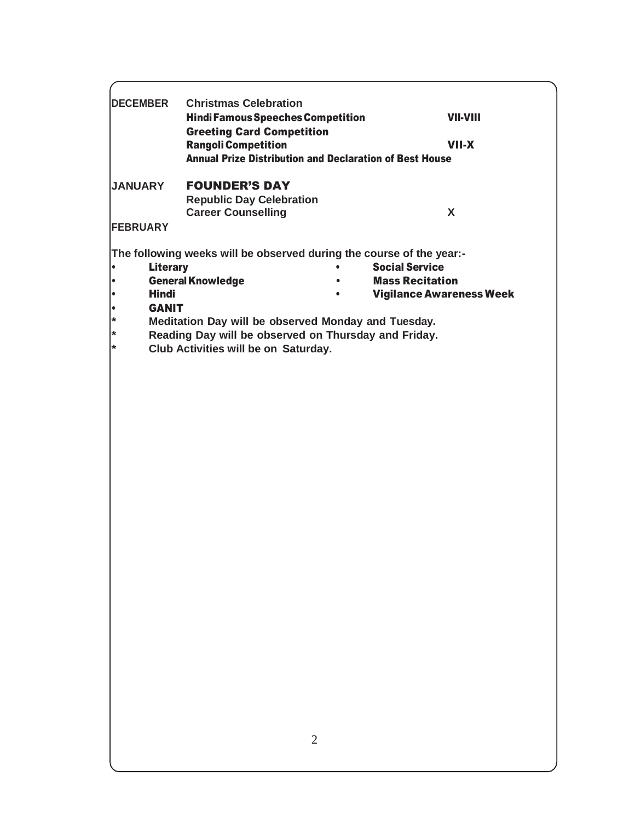| <b>DECEMBER</b>                                                                                                                       | <b>Christmas Celebration</b><br><b>Hindi Famous Speeches Competition</b><br><b>Greeting Card Competition</b><br><b>Rangoli Competition</b><br><b>Annual Prize Distribution and Declaration of Best House</b>                                                         | <b>VII-VIII</b><br><b>VII-X</b>                                                    |
|---------------------------------------------------------------------------------------------------------------------------------------|----------------------------------------------------------------------------------------------------------------------------------------------------------------------------------------------------------------------------------------------------------------------|------------------------------------------------------------------------------------|
| <b>JANUARY</b>                                                                                                                        | <b>FOUNDER'S DAY</b><br><b>Republic Day Celebration</b><br><b>Career Counselling</b>                                                                                                                                                                                 | X                                                                                  |
| <b>FEBRUARY</b><br><b>Literary</b><br>$\bullet$<br>$\bullet$<br><b>Hindi</b><br>$\bullet$<br><b>GANIT</b><br>$\bullet$<br>*<br>*<br>¥ | The following weeks will be observed during the course of the year:-<br><b>General Knowledge</b><br>$\bullet$<br>Meditation Day will be observed Monday and Tuesday.<br>Reading Day will be observed on Thursday and Friday.<br>Club Activities will be on Saturday. | <b>Social Service</b><br><b>Mass Recitation</b><br><b>Vigilance Awareness Week</b> |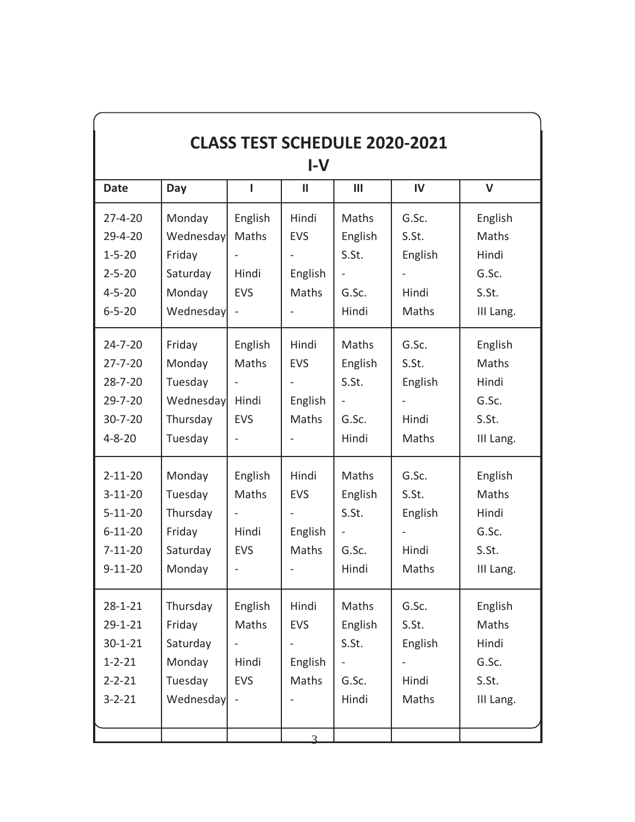| <b>CLASS TEST SCHEDULE 2020-2021</b><br>$I-V$                                                     |                                                                  |                                                                     |                                         |                                                                             |                                             |                                                          |
|---------------------------------------------------------------------------------------------------|------------------------------------------------------------------|---------------------------------------------------------------------|-----------------------------------------|-----------------------------------------------------------------------------|---------------------------------------------|----------------------------------------------------------|
| <b>Date</b>                                                                                       | Day                                                              | ı                                                                   | Ш                                       | Ш                                                                           | IV                                          | $\mathsf{V}$                                             |
| $27 - 4 - 20$<br>$29 - 4 - 20$<br>$1 - 5 - 20$<br>$2 - 5 - 20$<br>$4 - 5 - 20$<br>$6 - 5 - 20$    | Monday<br>Wednesday<br>Friday<br>Saturday<br>Monday<br>Wednesday | English<br>Maths<br>Hindi<br><b>EVS</b><br>$\overline{\phantom{0}}$ | Hindi<br><b>EVS</b><br>English<br>Maths | Maths<br>English<br>S.St.<br>G.Sc.<br>Hindi                                 | G.Sc.<br>S.St.<br>English<br>Hindi<br>Maths | English<br>Maths<br>Hindi<br>G.Sc.<br>S.St.<br>III Lang. |
| $24 - 7 - 20$<br>$27 - 7 - 20$<br>$28 - 7 - 20$<br>$29 - 7 - 20$<br>$30 - 7 - 20$<br>$4 - 8 - 20$ | Friday<br>Monday<br>Tuesday<br>Wednesday<br>Thursday<br>Tuesday  | English<br>Maths<br>Hindi<br><b>EVS</b>                             | Hindi<br><b>EVS</b><br>English<br>Maths | Maths<br>English<br>S.St.<br>$\qquad \qquad \blacksquare$<br>G.Sc.<br>Hindi | G.Sc.<br>S.St.<br>English<br>Hindi<br>Maths | English<br>Maths<br>Hindi<br>G.Sc.<br>S.St.<br>III Lang. |
| $2 - 11 - 20$<br>$3-11-20$<br>$5 - 11 - 20$<br>$6 - 11 - 20$<br>$7 - 11 - 20$<br>$9-11-20$        | Monday<br>Tuesday<br>Thursday<br>Friday<br>Saturday<br>Monday    | English<br>Maths<br>Hindi<br><b>EVS</b>                             | Hindi<br><b>EVS</b><br>English<br>Maths | Maths<br>English<br>S.St.<br>$\overline{\phantom{m}}$<br>G.Sc.<br>Hindi     | G.Sc.<br>S.St.<br>English<br>Hindi<br>Maths | English<br>Maths<br>Hindi<br>G.Sc.<br>S.St.<br>III Lang. |
| $28 - 1 - 21$<br>$29 - 1 - 21$<br>$30 - 1 - 21$<br>$1 - 2 - 21$<br>$2 - 2 - 21$<br>$3 - 2 - 21$   | Thursday<br>Friday<br>Saturday<br>Monday<br>Tuesday<br>Wednesday | English<br>Maths<br>Hindi<br><b>EVS</b><br>$\qquad \qquad -$        | Hindi<br><b>EVS</b><br>English<br>Maths | Maths<br>English<br>S.St.<br>G.Sc.<br>Hindi                                 | G.Sc.<br>S.St.<br>English<br>Hindi<br>Maths | English<br>Maths<br>Hindi<br>G.Sc.<br>S.St.<br>III Lang. |